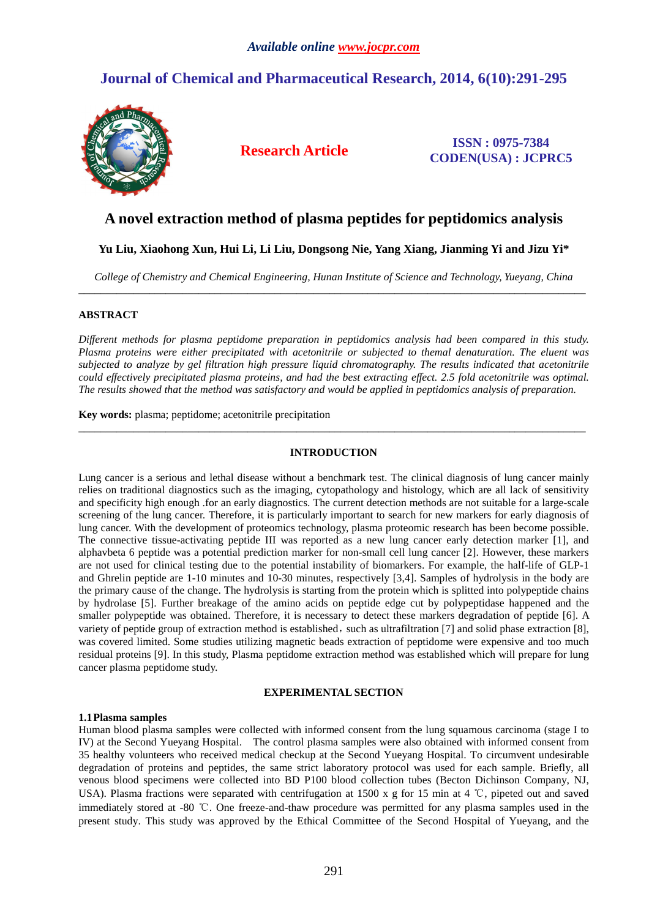# **Journal of Chemical and Pharmaceutical Research, 2014, 6(10):291-295**



**Research Article ISSN : 0975-7384 CODEN(USA) : JCPRC5**

## **A novel extraction method of plasma peptides for peptidomics analysis**

## **Yu Liu, Xiaohong Xun, Hui Li, Li Liu, Dongsong Nie, Yang Xiang, Jianming Yi and Jizu Yi\***

*College of Chemistry and Chemical Engineering, Hunan Institute of Science and Technology, Yueyang, China*  \_\_\_\_\_\_\_\_\_\_\_\_\_\_\_\_\_\_\_\_\_\_\_\_\_\_\_\_\_\_\_\_\_\_\_\_\_\_\_\_\_\_\_\_\_\_\_\_\_\_\_\_\_\_\_\_\_\_\_\_\_\_\_\_\_\_\_\_\_\_\_\_\_\_\_\_\_\_\_\_\_\_\_\_\_\_\_\_\_\_\_\_\_

## **ABSTRACT**

*Different methods for plasma peptidome preparation in peptidomics analysis had been compared in this study. Plasma proteins were either precipitated with acetonitrile or subjected to themal denaturation. The eluent was subjected to analyze by gel filtration high pressure liquid chromatography. The results indicated that acetonitrile could effectively precipitated plasma proteins, and had the best extracting effect. 2.5 fold acetonitrile was optimal. The results showed that the method was satisfactory and would be applied in peptidomics analysis of preparation.* 

**Key words:** plasma; peptidome; acetonitrile precipitation

### **INTRODUCTION**

\_\_\_\_\_\_\_\_\_\_\_\_\_\_\_\_\_\_\_\_\_\_\_\_\_\_\_\_\_\_\_\_\_\_\_\_\_\_\_\_\_\_\_\_\_\_\_\_\_\_\_\_\_\_\_\_\_\_\_\_\_\_\_\_\_\_\_\_\_\_\_\_\_\_\_\_\_\_\_\_\_\_\_\_\_\_\_\_\_\_\_\_\_

Lung cancer is a serious and lethal disease without a benchmark test. The clinical diagnosis of lung cancer mainly relies on traditional diagnostics such as the imaging, cytopathology and histology, which are all lack of sensitivity and specificity high enough .for an early diagnostics. The current detection methods are not suitable for a large-scale screening of the lung cancer. Therefore, it is particularly important to search for new markers for early diagnosis of lung cancer. With the development of proteomics technology, plasma proteomic research has been become possible. The connective tissue-activating peptide III was reported as a new lung cancer early detection marker [1], and alphavbeta 6 peptide was a potential prediction marker for non-small cell lung cancer [2]. However, these markers are not used for clinical testing due to the potential instability of biomarkers. For example, the half-life of GLP-1 and Ghrelin peptide are 1-10 minutes and 10-30 minutes, respectively [3,4]. Samples of hydrolysis in the body are the primary cause of the change. The hydrolysis is starting from the protein which is splitted into polypeptide chains by hydrolase [5]. Further breakage of the amino acids on peptide edge cut by polypeptidase happened and the smaller polypeptide was obtained. Therefore, it is necessary to detect these markers degradation of peptide [6]. A variety of peptide group of extraction method is established, such as ultrafiltration [7] and solid phase extraction [8], was covered limited. Some studies utilizing magnetic beads extraction of peptidome were expensive and too much residual proteins [9]. In this study, Plasma peptidome extraction method was established which will prepare for lung cancer plasma peptidome study.

### **EXPERIMENTAL SECTION**

### **1.1Plasma samples**

Human blood plasma samples were collected with informed consent from the lung squamous carcinoma (stage I to IV) at the Second Yueyang Hospital. The control plasma samples were also obtained with informed consent from 35 healthy volunteers who received medical checkup at the Second Yueyang Hospital. To circumvent undesirable degradation of proteins and peptides, the same strict laboratory protocol was used for each sample. Briefly, all venous blood specimens were collected into BD P100 blood collection tubes (Becton Dichinson Company, NJ, USA). Plasma fractions were separated with centrifugation at 1500 x g for 15 min at 4 ℃, pipeted out and saved immediately stored at -80 ℃. One freeze-and-thaw procedure was permitted for any plasma samples used in the present study. This study was approved by the Ethical Committee of the Second Hospital of Yueyang, and the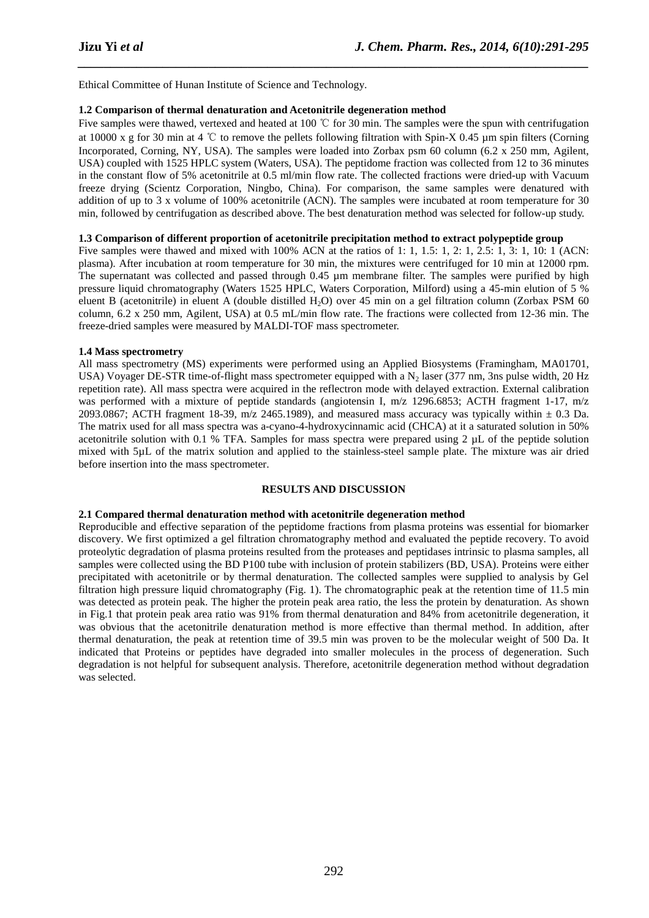Ethical Committee of Hunan Institute of Science and Technology.

#### **1.2 Comparison of thermal denaturation and Acetonitrile degeneration method**

Five samples were thawed, vertexed and heated at 100 ℃ for 30 min. The samples were the spun with centrifugation at 10000 x g for 30 min at 4 °C to remove the pellets following filtration with Spin-X 0.45  $\mu$ m spin filters (Corning Incorporated, Corning, NY, USA). The samples were loaded into Zorbax psm 60 column (6.2 x 250 mm, Agilent, USA) coupled with 1525 HPLC system (Waters, USA). The peptidome fraction was collected from 12 to 36 minutes in the constant flow of 5% acetonitrile at 0.5 ml/min flow rate. The collected fractions were dried-up with Vacuum freeze drying (Scientz Corporation, Ningbo, China). For comparison, the same samples were denatured with addition of up to 3 x volume of 100% acetonitrile (ACN). The samples were incubated at room temperature for 30 min, followed by centrifugation as described above. The best denaturation method was selected for follow-up study.

*\_\_\_\_\_\_\_\_\_\_\_\_\_\_\_\_\_\_\_\_\_\_\_\_\_\_\_\_\_\_\_\_\_\_\_\_\_\_\_\_\_\_\_\_\_\_\_\_\_\_\_\_\_\_\_\_\_\_\_\_\_\_\_\_\_\_\_\_\_\_\_\_\_\_\_\_\_\_*

### **1.3 Comparison of different proportion of acetonitrile precipitation method to extract polypeptide group**

Five samples were thawed and mixed with 100% ACN at the ratios of 1: 1, 1.5: 1, 2: 1, 2.5: 1, 3: 1, 10: 1 (ACN: plasma). After incubation at room temperature for 30 min, the mixtures were centrifuged for 10 min at 12000 rpm. The supernatant was collected and passed through 0.45 µm membrane filter. The samples were purified by high pressure liquid chromatography (Waters 1525 HPLC, Waters Corporation, Milford) using a 45-min elution of 5 % eluent B (acetonitrile) in eluent A (double distilled H<sub>2</sub>O) over 45 min on a gel filtration column (Zorbax PSM 60 column, 6.2 x 250 mm, Agilent, USA) at 0.5 mL/min flow rate. The fractions were collected from 12-36 min. The freeze-dried samples were measured by MALDI-TOF mass spectrometer.

#### **1.4 Mass spectrometry**

All mass spectrometry (MS) experiments were performed using an Applied Biosystems (Framingham, MA01701, USA) Voyager DE-STR time-of-flight mass spectrometer equipped with a  $N_2$  laser (377 nm, 3ns pulse width, 20 Hz repetition rate). All mass spectra were acquired in the reflectron mode with delayed extraction. External calibration was performed with a mixture of peptide standards (angiotensin I, m/z 1296.6853; ACTH fragment 1-17, m/z 2093.0867; ACTH fragment 18-39, m/z 2465.1989), and measured mass accuracy was typically within  $\pm$  0.3 Da. The matrix used for all mass spectra was a-cyano-4-hydroxycinnamic acid (CHCA) at it a saturated solution in 50% acetonitrile solution with 0.1 % TFA. Samples for mass spectra were prepared using 2 µL of the peptide solution mixed with 5µL of the matrix solution and applied to the stainless-steel sample plate. The mixture was air dried before insertion into the mass spectrometer.

### **RESULTS AND DISCUSSION**

### **2.1 Compared thermal denaturation method with acetonitrile degeneration method**

Reproducible and effective separation of the peptidome fractions from plasma proteins was essential for biomarker discovery. We first optimized a gel filtration chromatography method and evaluated the peptide recovery. To avoid proteolytic degradation of plasma proteins resulted from the proteases and peptidases intrinsic to plasma samples, all samples were collected using the BD P100 tube with inclusion of protein stabilizers (BD, USA). Proteins were either precipitated with acetonitrile or by thermal denaturation. The collected samples were supplied to analysis by Gel filtration high pressure liquid chromatography (Fig. 1). The chromatographic peak at the retention time of 11.5 min was detected as protein peak. The higher the protein peak area ratio, the less the protein by denaturation. As shown in Fig.1 that protein peak area ratio was 91% from thermal denaturation and 84% from acetonitrile degeneration, it was obvious that the acetonitrile denaturation method is more effective than thermal method. In addition, after thermal denaturation, the peak at retention time of 39.5 min was proven to be the molecular weight of 500 Da. It indicated that Proteins or peptides have degraded into smaller molecules in the process of degeneration. Such degradation is not helpful for subsequent analysis. Therefore, acetonitrile degeneration method without degradation was selected.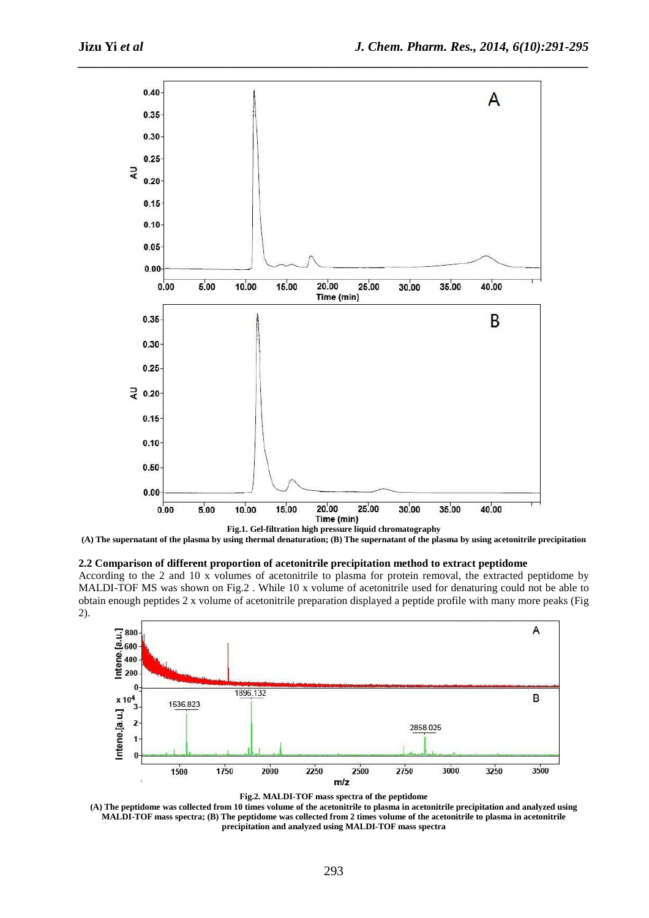

*\_\_\_\_\_\_\_\_\_\_\_\_\_\_\_\_\_\_\_\_\_\_\_\_\_\_\_\_\_\_\_\_\_\_\_\_\_\_\_\_\_\_\_\_\_\_\_\_\_\_\_\_\_\_\_\_\_\_\_\_\_\_\_\_\_\_\_\_\_\_\_\_\_\_\_\_\_\_*

**(A) The supernatant of the plasma by using thermal denaturation; (B) The supernatant of the plasma by using acetonitrile precipitation** 

#### **2.2 Comparison of different proportion of acetonitrile precipitation method to extract peptidome**

According to the 2 and 10 x volumes of acetonitrile to plasma for protein removal, the extracted peptidome by MALDI-TOF MS was shown on Fig.2 . While 10 x volume of acetonitrile used for denaturing could not be able to obtain enough peptides 2 x volume of acetonitrile preparation displayed a peptide profile with many more peaks (Fig 2).



**Fig.2. MALDI-TOF mass spectra of the peptidome** 

**(A) The peptidome was collected from 10 times volume of the acetonitrile to plasma in acetonitrile precipitation and analyzed using MALDI-TOF mass spectra; (B) The peptidome was collected from 2 times volume of the acetonitrile to plasma in acetonitrile precipitation and analyzed using MALDI-TOF mass spectra**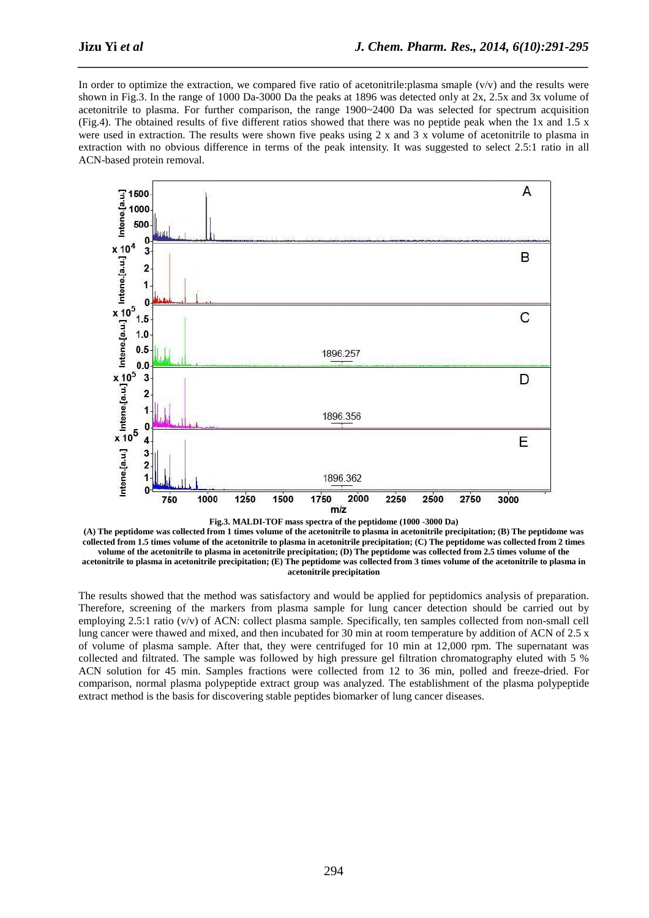In order to optimize the extraction, we compared five ratio of acetonitrile: plasma smaple  $(v/v)$  and the results were shown in Fig.3. In the range of 1000 Da-3000 Da the peaks at 1896 was detected only at 2x, 2.5x and 3x volume of acetonitrile to plasma. For further comparison, the range 1900~2400 Da was selected for spectrum acquisition (Fig.4). The obtained results of five different ratios showed that there was no peptide peak when the 1x and 1.5 x were used in extraction. The results were shown five peaks using 2 x and 3 x volume of acetonitrile to plasma in extraction with no obvious difference in terms of the peak intensity. It was suggested to select 2.5:1 ratio in all ACN-based protein removal.

*\_\_\_\_\_\_\_\_\_\_\_\_\_\_\_\_\_\_\_\_\_\_\_\_\_\_\_\_\_\_\_\_\_\_\_\_\_\_\_\_\_\_\_\_\_\_\_\_\_\_\_\_\_\_\_\_\_\_\_\_\_\_\_\_\_\_\_\_\_\_\_\_\_\_\_\_\_\_*





**(A) The peptidome was collected from 1 times volume of the acetonitrile to plasma in acetonitrile precipitation; (B) The peptidome was collected from 1.5 times volume of the acetonitrile to plasma in acetonitrile precipitation; (C) The peptidome was collected from 2 times volume of the acetonitrile to plasma in acetonitrile precipitation; (D) The peptidome was collected from 2.5 times volume of the acetonitrile to plasma in acetonitrile precipitation; (E) The peptidome was collected from 3 times volume of the acetonitrile to plasma in acetonitrile precipitation** 

The results showed that the method was satisfactory and would be applied for peptidomics analysis of preparation. Therefore, screening of the markers from plasma sample for lung cancer detection should be carried out by employing 2.5:1 ratio (v/v) of ACN: collect plasma sample. Specifically, ten samples collected from non-small cell lung cancer were thawed and mixed, and then incubated for 30 min at room temperature by addition of ACN of 2.5 x of volume of plasma sample. After that, they were centrifuged for 10 min at 12,000 rpm. The supernatant was collected and filtrated. The sample was followed by high pressure gel filtration chromatography eluted with 5 % ACN solution for 45 min. Samples fractions were collected from 12 to 36 min, polled and freeze-dried. For comparison, normal plasma polypeptide extract group was analyzed. The establishment of the plasma polypeptide extract method is the basis for discovering stable peptides biomarker of lung cancer diseases.